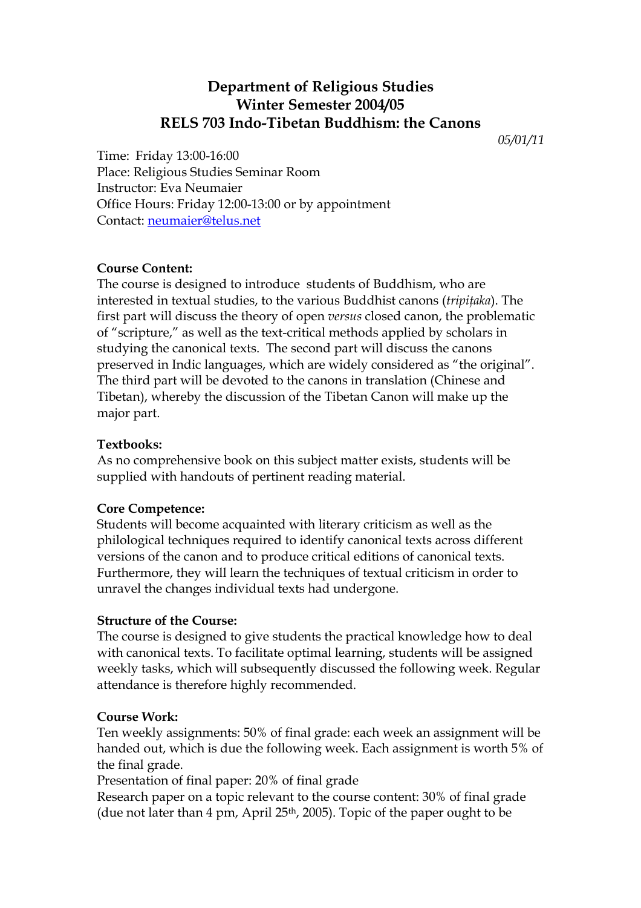# **Department of Religious Studies Winter Semester 2004/05 RELS 703 Indo-Tibetan Buddhism: the Canons**

*05/01/11* 

Time: Friday 13:00-16:00 Place: Religious Studies Seminar Room Instructor: Eva Neumaier Office Hours: Friday 12:00-13:00 or by appointment Contact: [neumaier@telus.net](mailto:neumaier@telus.net)

## **Course Content:**

The course is designed to introduce students of Buddhism, who are interested in textual studies, to the various Buddhist canons (*tripiţaka*). The first part will discuss the theory of open *versus* closed canon, the problematic of "scripture," as well as the text-critical methods applied by scholars in studying the canonical texts. The second part will discuss the canons preserved in Indic languages, which are widely considered as "the original". The third part will be devoted to the canons in translation (Chinese and Tibetan), whereby the discussion of the Tibetan Canon will make up the major part.

## **Textbooks:**

As no comprehensive book on this subject matter exists, students will be supplied with handouts of pertinent reading material.

## **Core Competence:**

Students will become acquainted with literary criticism as well as the philological techniques required to identify canonical texts across different versions of the canon and to produce critical editions of canonical texts. Furthermore, they will learn the techniques of textual criticism in order to unravel the changes individual texts had undergone.

## **Structure of the Course:**

The course is designed to give students the practical knowledge how to deal with canonical texts. To facilitate optimal learning, students will be assigned weekly tasks, which will subsequently discussed the following week. Regular attendance is therefore highly recommended.

## **Course Work:**

Ten weekly assignments: 50% of final grade: each week an assignment will be handed out, which is due the following week. Each assignment is worth 5% of the final grade.

Presentation of final paper: 20% of final grade

Research paper on a topic relevant to the course content: 30% of final grade (due not later than 4 pm, April 25<sup>th</sup>, 2005). Topic of the paper ought to be